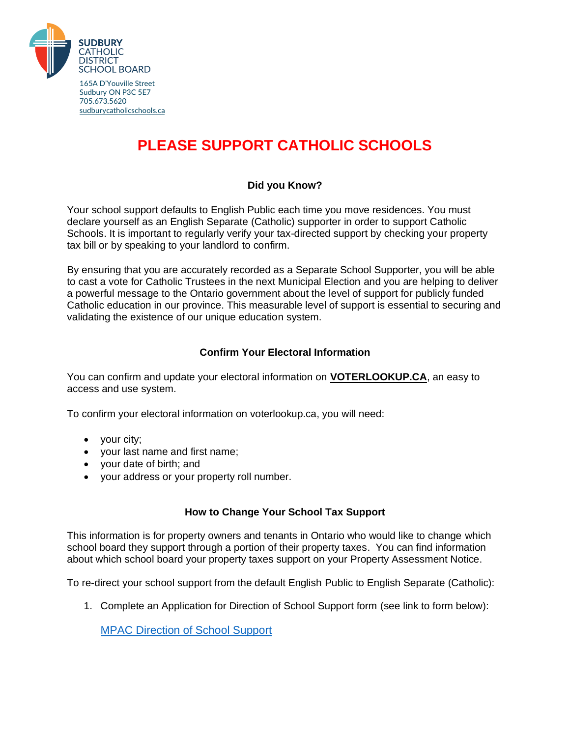

165A D'Youville Street Sudbury ON P3C 5E7 705.673.5620 [sudburycatholicschools.ca](http://www.sudburycatholicschools.ca/)

# **PLEASE SUPPORT CATHOLIC SCHOOLS**

### **Did you Know?**

Your school support defaults to English Public each time you move residences. You must declare yourself as an English Separate (Catholic) supporter in order to support Catholic Schools. It is important to regularly verify your tax-directed support by checking your property tax bill or by speaking to your landlord to confirm.

By ensuring that you are accurately recorded as a Separate School Supporter, you will be able to cast a vote for Catholic Trustees in the next Municipal Election and you are helping to deliver a powerful message to the Ontario government about the level of support for publicly funded Catholic education in our province. This measurable level of support is essential to securing and validating the existence of our unique education system.

### **Confirm Your Electoral Information**

You can confirm and update your electoral information on **VOTERLOOKUP.CA**, an easy to access and use system.

To confirm your electoral information on voterlookup.ca, you will need:

- your city;
- your last name and first name;
- your date of birth; and
- your address or your property roll number.

#### **How to Change Your School Tax Support**

This information is for property owners and tenants in Ontario who would like to change which school board they support through a portion of their property taxes. You can find information about which school board your property taxes support on your Property Assessment Notice.

To re-direct your school support from the default English Public to English Separate (Catholic):

1. Complete an Application for Direction of School Support form (see link to form below):

[MPAC Direction of School Support](https://www.sudburycatholicschools.ca/wp-content/uploads/2022/01/Application-for-Direction-of-Support.pdf)